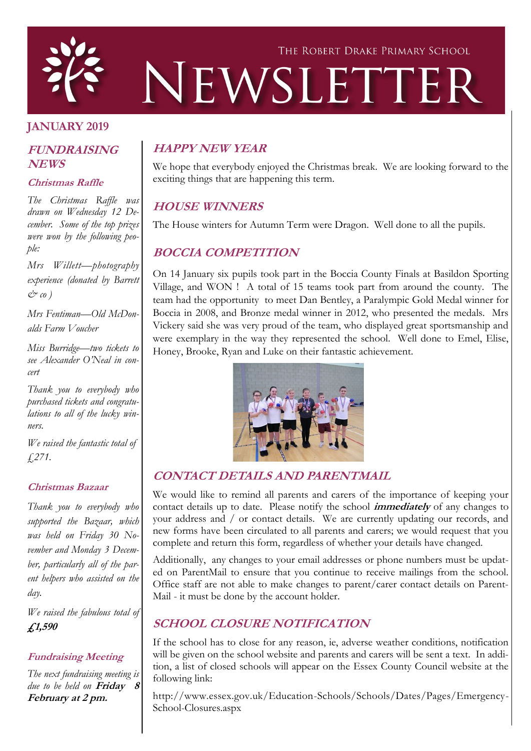

## **JANUARY 2019**

#### **FUNDRAISING NEWS**

#### **Christmas Raffle**

*The Christmas Raffle was drawn on Wednesday 12 December. Some of the top prizes were won by the following people:*

*Mrs Willett—photography experience (donated by Barrett & co )* 

*Mrs Fentiman—Old McDonalds Farm Voucher*

*Miss Burridge—two tickets to see Alexander O'Neal in concert* 

*Thank you to everybody who purchased tickets and congratulations to all of the lucky winners.*

*We raised the fantastic total of £271.*

#### **Christmas Bazaar**

*Thank you to everybody who supported the Bazaar, which was held on Friday 30 November and Monday 3 December, particularly all of the parent helpers who assisted on the day.* 

*We raised the fabulous total of*  **£1,590**

#### **Fundraising Meeting**

*The next fundraising meeting is due to be held on* **Friday 8 February at 2 pm.**

### **HAPPY NEW YEAR**

We hope that everybody enjoyed the Christmas break. We are looking forward to the exciting things that are happening this term.

### **HOUSE WINNERS**

The House winters for Autumn Term were Dragon. Well done to all the pupils.

### **BOCCIA COMPETITION**

On 14 January six pupils took part in the Boccia County Finals at Basildon Sporting Village, and WON ! A total of 15 teams took part from around the county. The team had the opportunity to meet Dan Bentley, a Paralympic Gold Medal winner for Boccia in 2008, and Bronze medal winner in 2012, who presented the medals. Mrs Vickery said she was very proud of the team, who displayed great sportsmanship and were exemplary in the way they represented the school. Well done to Emel, Elise, Honey, Brooke, Ryan and Luke on their fantastic achievement.



### **CONTACT DETAILS AND PARENTMAIL**

We would like to remind all parents and carers of the importance of keeping your contact details up to date. Please notify the school **immediately** of any changes to your address and / or contact details. We are currently updating our records, and new forms have been circulated to all parents and carers; we would request that you complete and return this form, regardless of whether your details have changed.

Additionally, any changes to your email addresses or phone numbers must be updated on ParentMail to ensure that you continue to receive mailings from the school. Office staff are not able to make changes to parent/carer contact details on Parent-Mail - it must be done by the account holder.

# **SCHOOL CLOSURE NOTIFICATION**

If the school has to close for any reason, ie, adverse weather conditions, notification will be given on the school website and parents and carers will be sent a text. In addition, a list of closed schools will appear on the Essex County Council website at the following link:

http://www.essex.gov.uk/Education-Schools/Schools/Dates/Pages/Emergency-School-Closures.aspx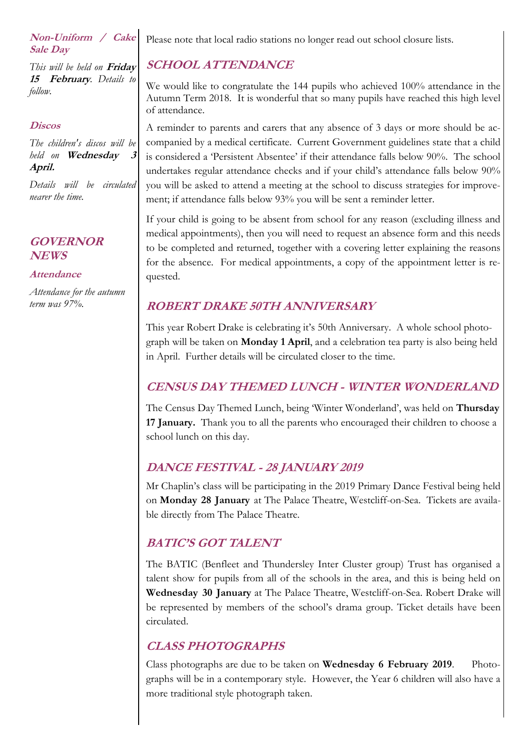#### **Non-Uniform / Cake Sale Day**

*This will be held on* **Friday 15 February***. Details to follow.* 

#### **Discos**

*The children's discos will be held on* **Wednesday 3 April.** 

*Details will be circulated nearer the time.*

### **GOVERNOR NEWS**

#### **Attendance**

*Attendance for the autumn term was 97%.*

Please note that local radio stations no longer read out school closure lists.

# **SCHOOL ATTENDANCE**

We would like to congratulate the 144 pupils who achieved 100% attendance in the Autumn Term 2018. It is wonderful that so many pupils have reached this high level of attendance.

A reminder to parents and carers that any absence of 3 days or more should be accompanied by a medical certificate. Current Government guidelines state that a child is considered a 'Persistent Absentee' if their attendance falls below 90%. The school undertakes regular attendance checks and if your child's attendance falls below 90% you will be asked to attend a meeting at the school to discuss strategies for improvement; if attendance falls below 93% you will be sent a reminder letter.

If your child is going to be absent from school for any reason (excluding illness and medical appointments), then you will need to request an absence form and this needs to be completed and returned, together with a covering letter explaining the reasons for the absence. For medical appointments, a copy of the appointment letter is requested.

# **ROBERT DRAKE 50TH ANNIVERSARY**

This year Robert Drake is celebrating it's 50th Anniversary. A whole school photograph will be taken on **Monday 1 April**, and a celebration tea party is also being held in April. Further details will be circulated closer to the time.

# **CENSUS DAY THEMED LUNCH - WINTER WONDERLAND**

The Census Day Themed Lunch, being 'Winter Wonderland', was held on **Thursday 17 January.** Thank you to all the parents who encouraged their children to choose a school lunch on this day.

# **DANCE FESTIVAL - 28 JANUARY 2019**

Mr Chaplin's class will be participating in the 2019 Primary Dance Festival being held on **Monday 28 January** at The Palace Theatre, Westcliff-on-Sea. Tickets are available directly from The Palace Theatre.

# **BATIC'S GOT TALENT**

The BATIC (Benfleet and Thundersley Inter Cluster group) Trust has organised a talent show for pupils from all of the schools in the area, and this is being held on **Wednesday 30 January** at The Palace Theatre, Westcliff-on-Sea. Robert Drake will be represented by members of the school's drama group. Ticket details have been circulated.

# **CLASS PHOTOGRAPHS**

Class photographs are due to be taken on **Wednesday 6 February 2019**. Photographs will be in a contemporary style. However, the Year 6 children will also have a more traditional style photograph taken.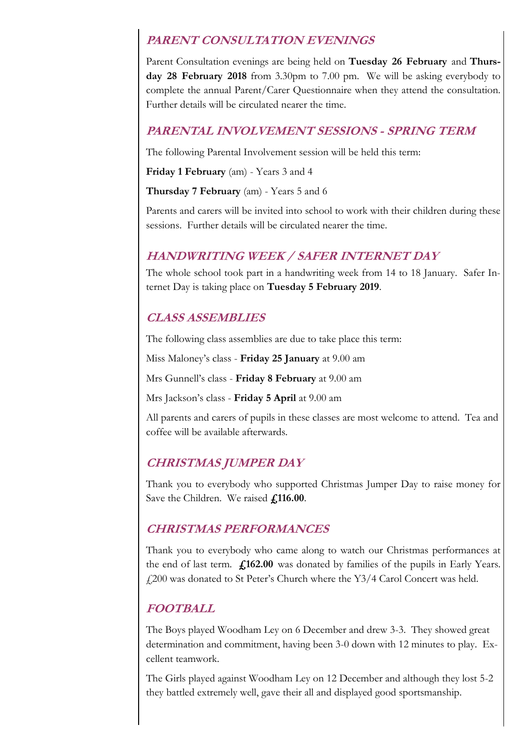### **PARENT CONSULTATION EVENINGS**

Parent Consultation evenings are being held on **Tuesday 26 February** and **Thursday 28 February 2018** from 3.30pm to 7.00 pm. We will be asking everybody to complete the annual Parent/Carer Questionnaire when they attend the consultation. Further details will be circulated nearer the time.

### **PARENTAL INVOLVEMENT SESSIONS - SPRING TERM**

The following Parental Involvement session will be held this term:

**Friday 1 February** (am) - Years 3 and 4

**Thursday 7 February** (am) - Years 5 and 6

Parents and carers will be invited into school to work with their children during these sessions. Further details will be circulated nearer the time.

## **HANDWRITING WEEK / SAFER INTERNET DAY**

The whole school took part in a handwriting week from 14 to 18 January. Safer Internet Day is taking place on **Tuesday 5 February 2019**.

## **CLASS ASSEMBLIES**

The following class assemblies are due to take place this term:

Miss Maloney's class - **Friday 25 January** at 9.00 am

Mrs Gunnell's class - **Friday 8 February** at 9.00 am

Mrs Jackson's class - **Friday 5 April** at 9.00 am

All parents and carers of pupils in these classes are most welcome to attend. Tea and coffee will be available afterwards.

# **CHRISTMAS JUMPER DAY**

Thank you to everybody who supported Christmas Jumper Day to raise money for Save the Children. We raised **£116.00**.

### **CHRISTMAS PERFORMANCES**

Thank you to everybody who came along to watch our Christmas performances at the end of last term. **£162.00** was donated by families of the pupils in Early Years. £200 was donated to St Peter's Church where the Y3/4 Carol Concert was held.

# **FOOTBALL**

The Boys played Woodham Ley on 6 December and drew 3-3. They showed great determination and commitment, having been 3-0 down with 12 minutes to play. Excellent teamwork.

The Girls played against Woodham Ley on 12 December and although they lost 5-2 they battled extremely well, gave their all and displayed good sportsmanship.